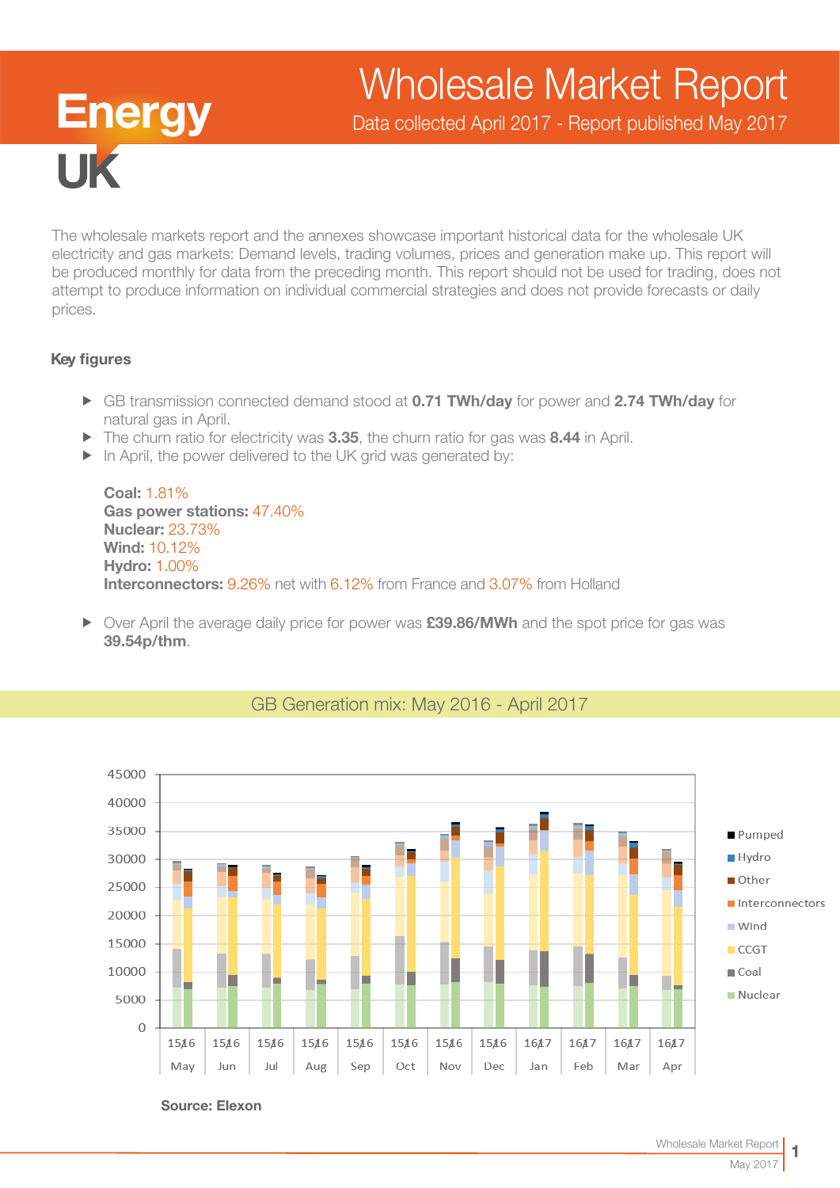# Wholesale Market Report

Data collected April 2017 - Report published May 2017

The wholesale markets report and the annexes showcase important historical data for the wholesale UK electricity and gas markets: Demand levels, trading volumes, prices and generation make up. This report will be produced monthly for data from the preceding month. This report should not be used for trading, does not attempt to produce information on individual commercial strategies and does not provide forecasts or daily prices.

## Key figures

**TK** 

**Energy** 

- ► GB transmission connected demand stood at 0.71 TWh/day for power and 2.74 TWh/day for natural gas in April.
- $\blacktriangleright$  The churn ratio for electricity was 3.35, the churn ratio for gas was 8.44 in April.
- $\triangleright$  In April, the power delivered to the UK grid was generated by:

Coal: 1.81% Gas power stations: 47.40% Nuclear: 23.73% Wind: 10.12% Hydro: 1.00% Interconnectors: 9.26% net with 6.12% from France and 3.07% from Holland

▶ Over April the average daily price for power was £39.86/MWh and the spot price for gas was 39.54p/thm.



## GB Generation mix: May 2016 - April 2017

Source: Elexon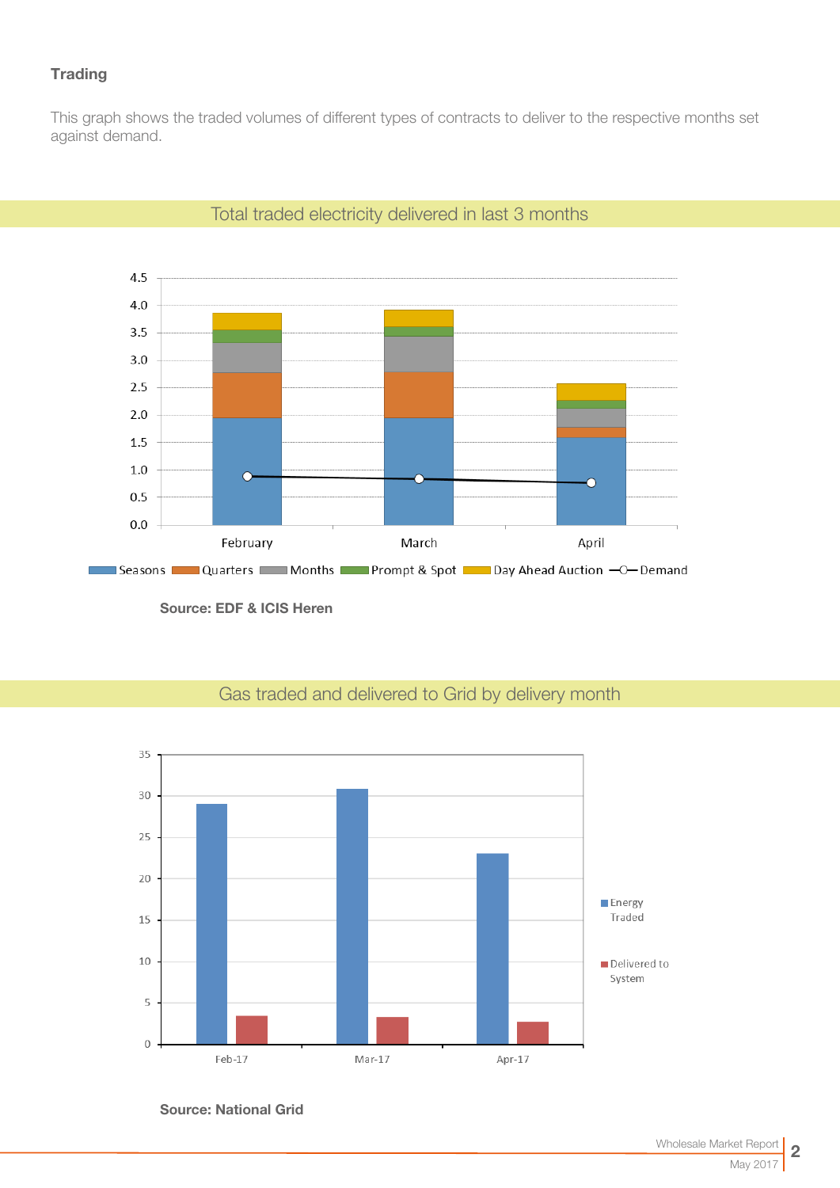## **Trading**

This graph shows the traded volumes of different types of contracts to deliver to the respective months set against demand.



## Total traded electricity delivered in last 3 months

Source: EDF & ICIS Heren



# Gas traded and delivered to Grid by delivery month

Source: National Grid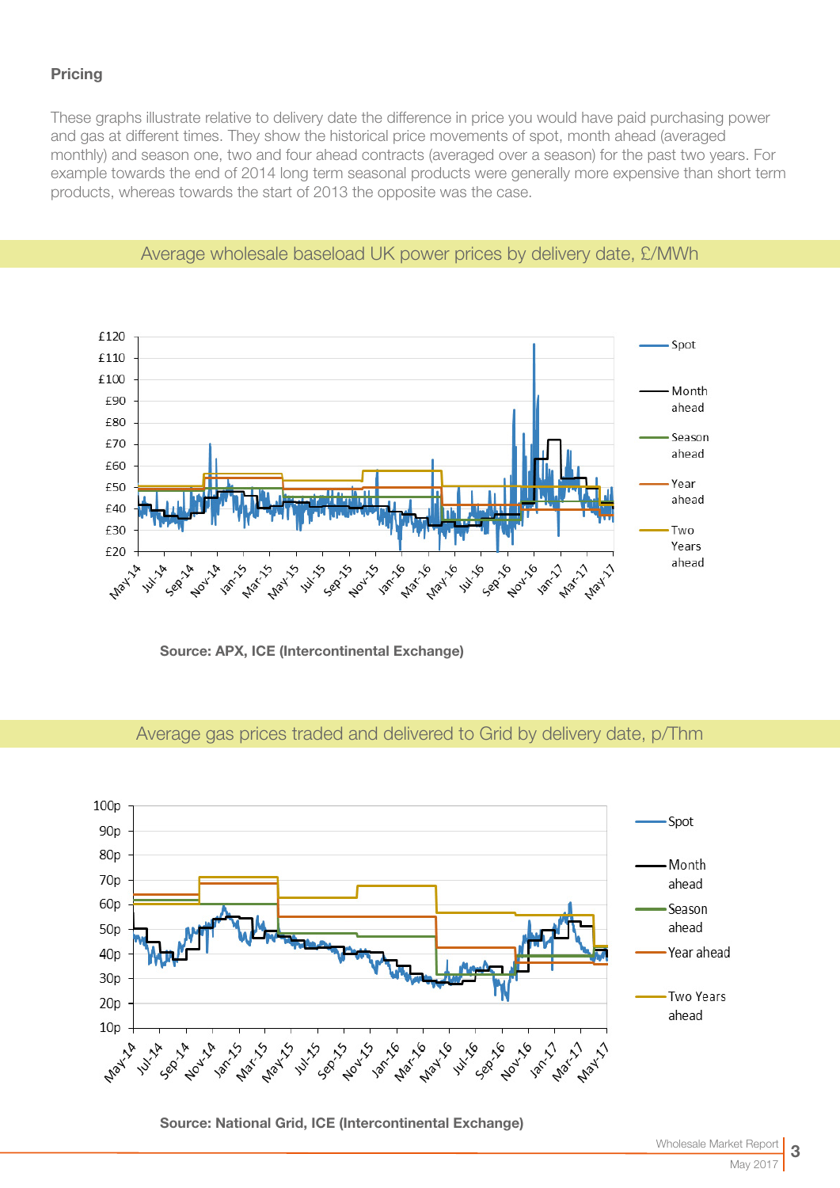## **Pricing**

These graphs illustrate relative to delivery date the difference in price you would have paid purchasing power and gas at different times. They show the historical price movements of spot, month ahead (averaged monthly) and season one, two and four ahead contracts (averaged over a season) for the past two years. For example towards the end of 2014 long term seasonal products were generally more expensive than short term products, whereas towards the start of 2013 the opposite was the case.



## Average wholesale baseload UK power prices by delivery date, £/MWh

Source: APX, ICE (Intercontinental Exchange)

## Average gas prices traded and delivered to Grid by delivery date, p/Thm



Source: National Grid, ICE (Intercontinental Exchange)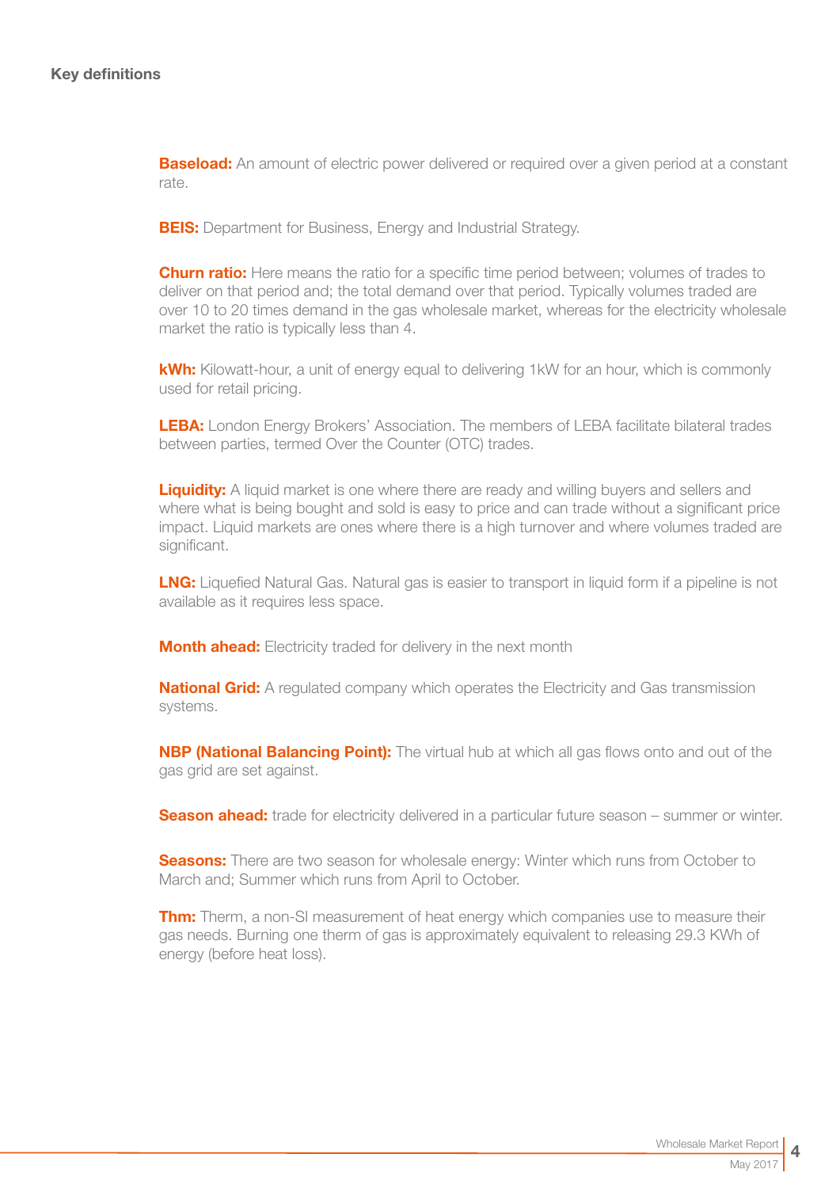**Baseload:** An amount of electric power delivered or required over a given period at a constant rate.

**BEIS:** Department for Business, Energy and Industrial Strategy.

**Churn ratio:** Here means the ratio for a specific time period between; volumes of trades to deliver on that period and; the total demand over that period. Typically volumes traded are over 10 to 20 times demand in the gas wholesale market, whereas for the electricity wholesale market the ratio is typically less than 4.

kWh: Kilowatt-hour, a unit of energy equal to delivering 1kW for an hour, which is commonly used for retail pricing.

LEBA: London Energy Brokers' Association. The members of LEBA facilitate bilateral trades between parties, termed Over the Counter (OTC) trades.

**Liquidity:** A liquid market is one where there are ready and willing buyers and sellers and where what is being bought and sold is easy to price and can trade without a significant price impact. Liquid markets are ones where there is a high turnover and where volumes traded are significant.

**LNG:** Liquefied Natural Gas. Natural gas is easier to transport in liquid form if a pipeline is not available as it requires less space.

**Month ahead:** Electricity traded for delivery in the next month

**National Grid:** A regulated company which operates the Electricity and Gas transmission systems.

**NBP (National Balancing Point):** The virtual hub at which all gas flows onto and out of the gas grid are set against.

**Season ahead:** trade for electricity delivered in a particular future season – summer or winter.

**Seasons:** There are two season for wholesale energy: Winter which runs from October to March and; Summer which runs from April to October.

**Thm:** Therm, a non-SI measurement of heat energy which companies use to measure their gas needs. Burning one therm of gas is approximately equivalent to releasing 29.3 KWh of energy (before heat loss).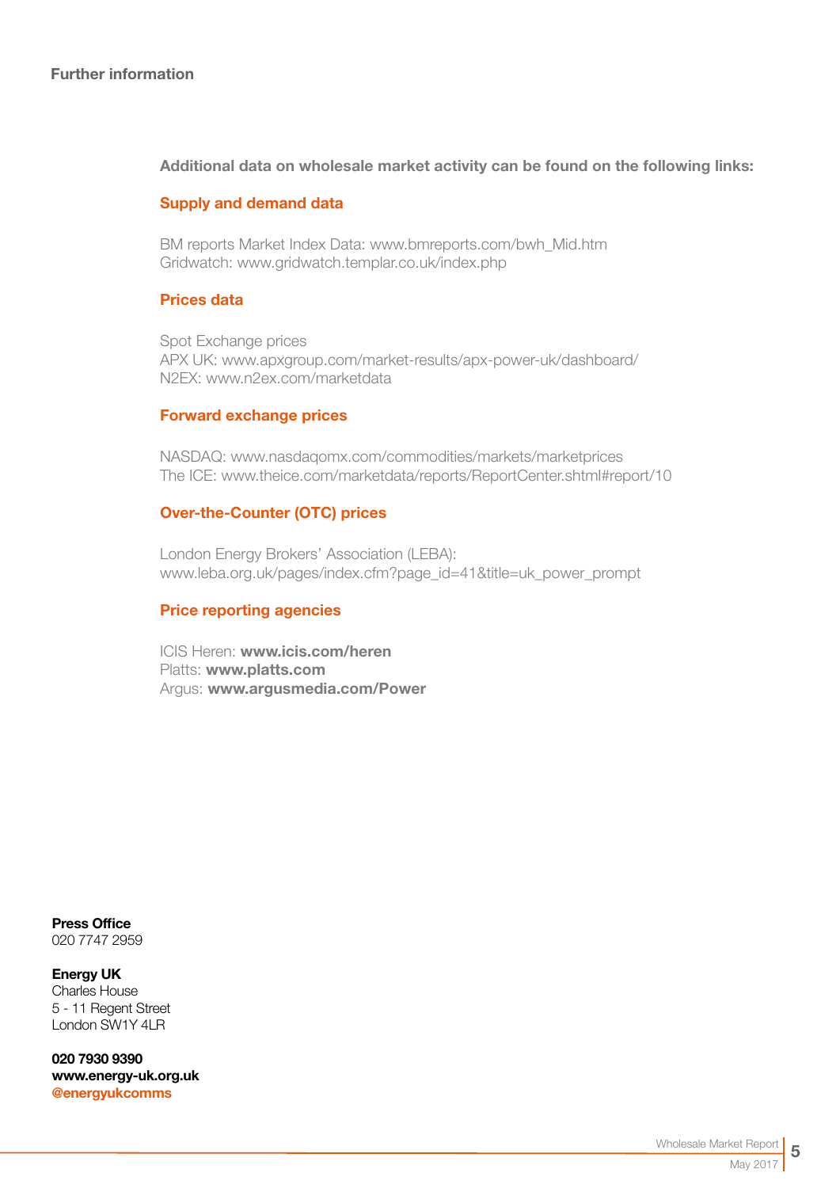## Additional data on wholesale market activity can be found on the following links:

## Supply and demand data

BM reports Market Index Data[: www.bmreports.com/bwh\\_Mid.htm](http://www.bmreports.com/bwh_Mid.htm)  Gridwatch[: www.gridwatch.templar.co.uk/index.php](http://www.gridwatch.templar.co.uk/index.php)

#### Prices data

Spot Exchange prices APX UK: [www.apxgroup.com/market-results/apx-power-uk/dashboard/](http://www.apxgroup.com/market-results/apx-power-uk/dashboard/ )  N2EX: [www.n2ex.com/marketdata](http://www.nordpoolspot.com/Market-data1/N2EX/) 

#### Forward exchange prices

NASDAQ: [www.nasdaqomx.com/commodities/markets/marketprices](http://www.nasdaqomx.com/commodities/markets/marketprices )  The ICE: [www.theice.com/marketdata/reports/ReportCenter.shtml#report/10](http://www.theice.com/marketdata/reports/ReportCenter.shtml#report/10 )

#### Over-the-Counter (OTC) prices

London Energy Brokers' Association (LEBA): [www.leba.org.uk/pages/index.cfm?page\\_id=41&title=uk\\_power\\_prompt](http://www.leba.org.uk/pages/index.cfm?page_id=41&title=uk_power_prompt 
) 

#### Price reporting agencies

ICIS Heren: [www.icis.com/heren](http://www.icis.com/heren)  Platts: [www.platts.com](http://www.platts.com/) Argus: [www.argusmedia.com/Power](http://www.argusmedia.com/Power)

Press Office 020 7747 2959

Energy UK Charles House 5 - 11 Regent Street London SW1Y 4LR

020 7930 9390 [www.energy-uk.org.uk](http://www.energy-uk.org.uk) [@energyukcomms](http://twitter.com/EnergyUKcomms)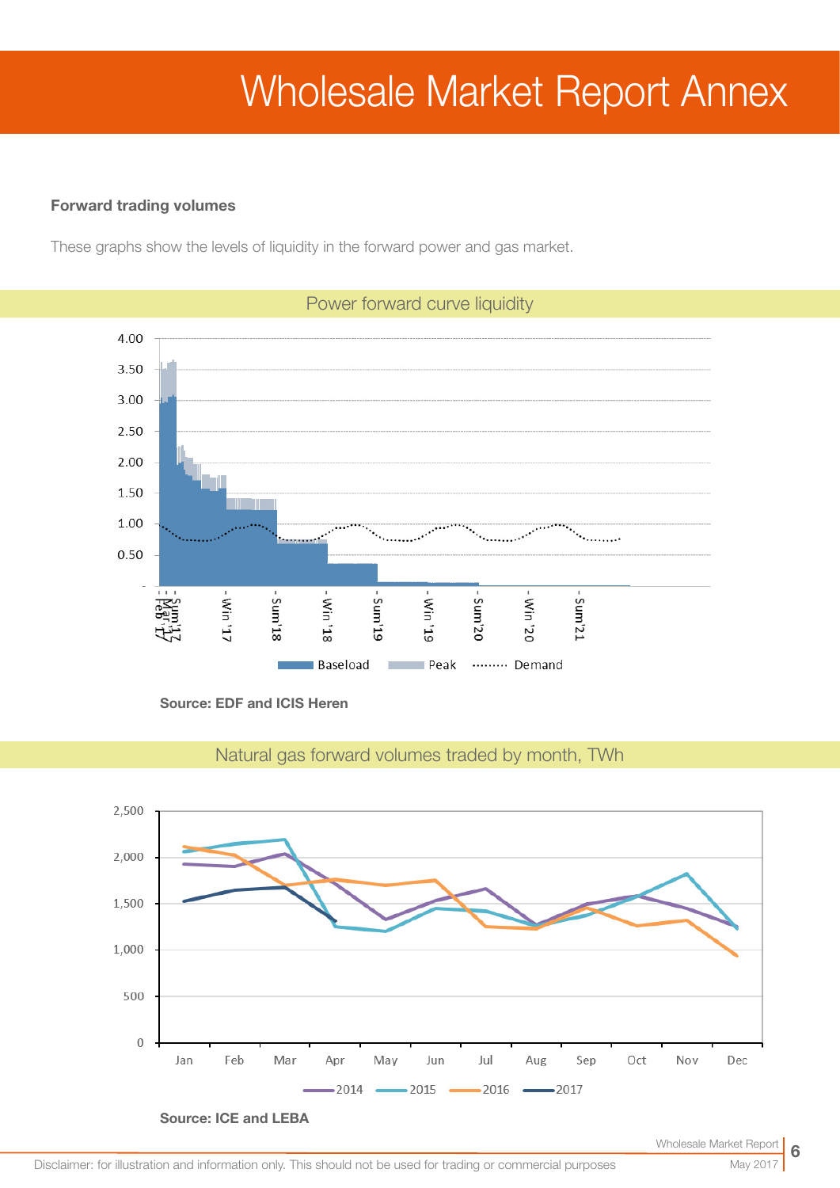# Wholesale Market Report Annex

## Forward trading volumes

These graphs show the levels of liquidity in the forward power and gas market.



Source: EDF and ICIS Heren



Natural gas forward volumes traded by month, TWh

May 201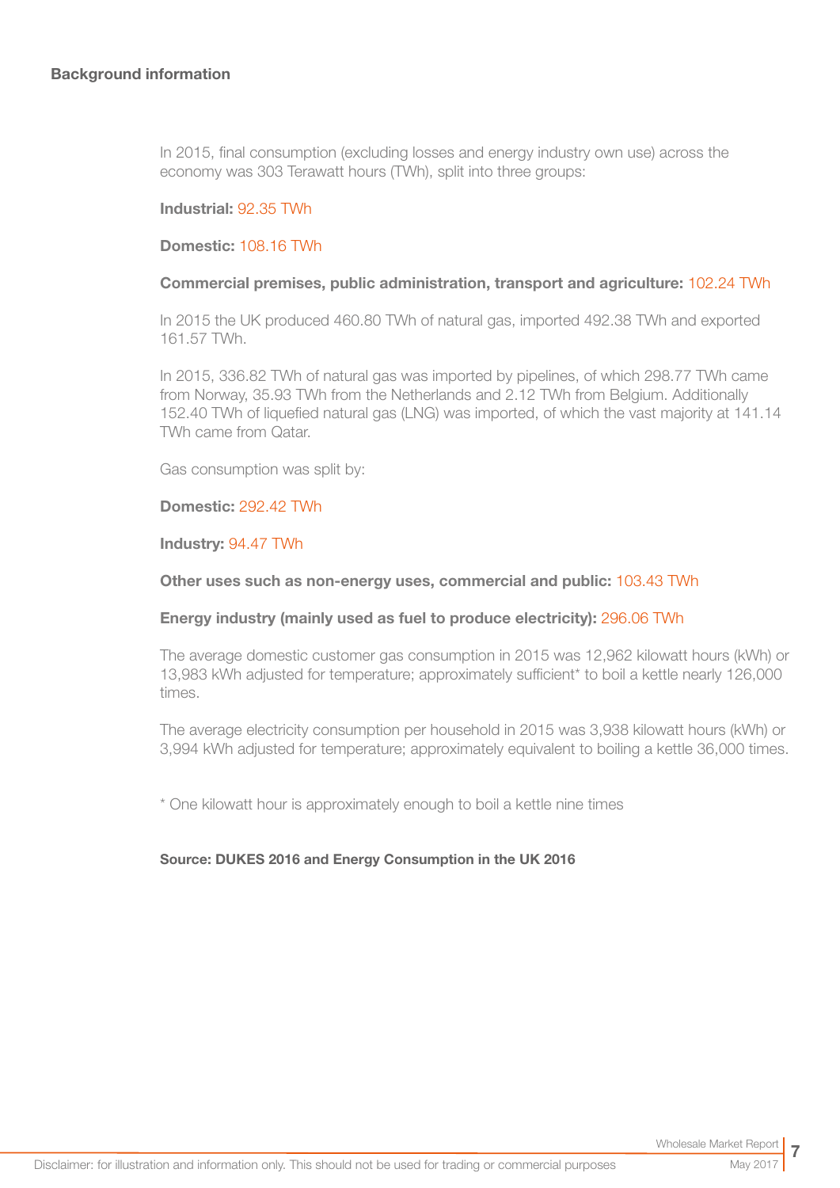In 2015, final consumption (excluding losses and energy industry own use) across the economy was 303 Terawatt hours (TWh), split into three groups:

#### Industrial: 92.35 TWh

#### Domestic: 108.16 TWh

#### Commercial premises, public administration, transport and agriculture: 102.24 TWh

In 2015 the UK produced 460.80 TWh of natural gas, imported 492.38 TWh and exported 161.57 TWh.

In 2015, 336.82 TWh of natural gas was imported by pipelines, of which 298.77 TWh came from Norway, 35.93 TWh from the Netherlands and 2.12 TWh from Belgium. Additionally 152.40 TWh of liquefied natural gas (LNG) was imported, of which the vast majority at 141.14 TWh came from Qatar.

Gas consumption was split by:

#### Domestic: 292.42 TWh

#### Industry: 94.47 TWh

#### Other uses such as non-energy uses, commercial and public: 103.43 TWh

#### Energy industry (mainly used as fuel to produce electricity): 296.06 TWh

The average domestic customer gas consumption in 2015 was 12,962 kilowatt hours (kWh) or 13,983 kWh adjusted for temperature; approximately sufficient\* to boil a kettle nearly 126,000 times.

The average electricity consumption per household in 2015 was 3,938 kilowatt hours (kWh) or 3,994 kWh adjusted for temperature; approximately equivalent to boiling a kettle 36,000 times.

\* One kilowatt hour is approximately enough to boil a kettle nine times

#### Source: DUKES 2016 and Energy Consumption in the UK 2016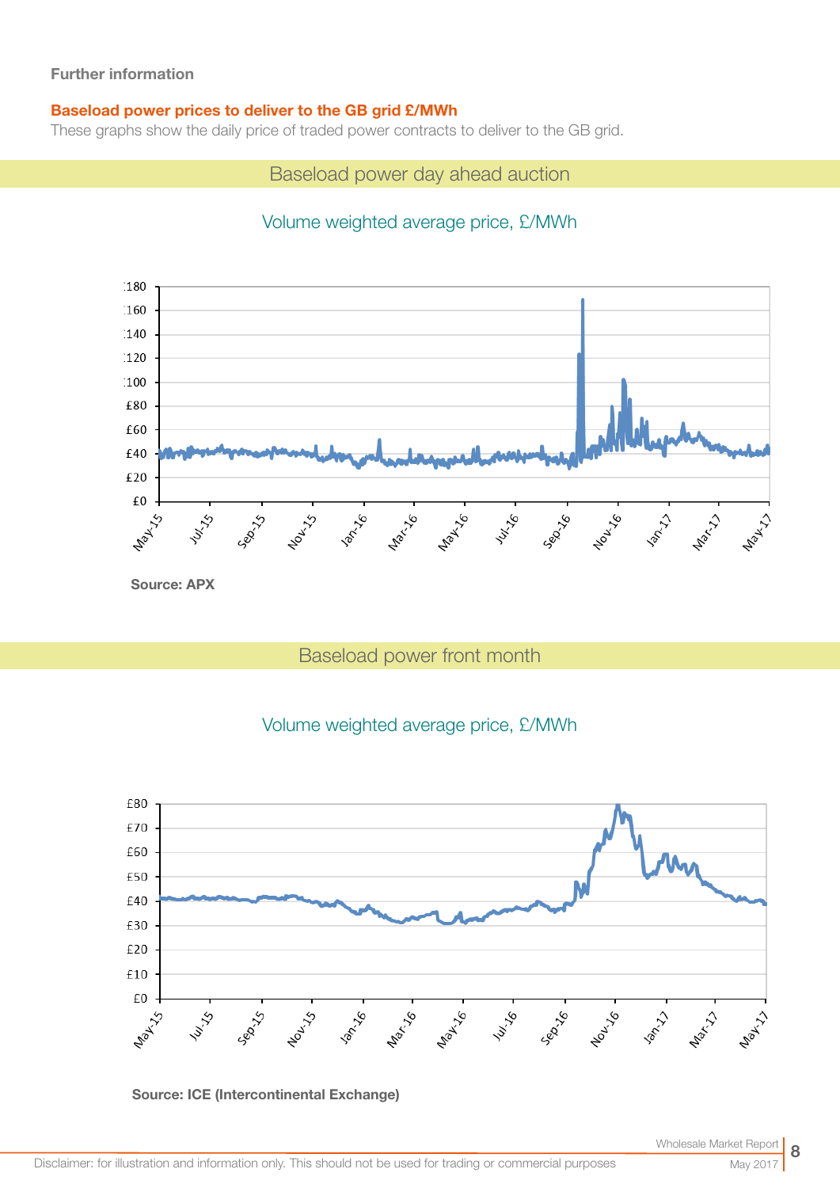## Baseload power prices to deliver to the GB grid £/MWh

These graphs show the daily price of traded power contracts to deliver to the GB grid.

Baseload power day ahead auction

# Volume weighted average price, £/MWh



# Baseload power front month

# Volume weighted average price, £/MWh





May 2017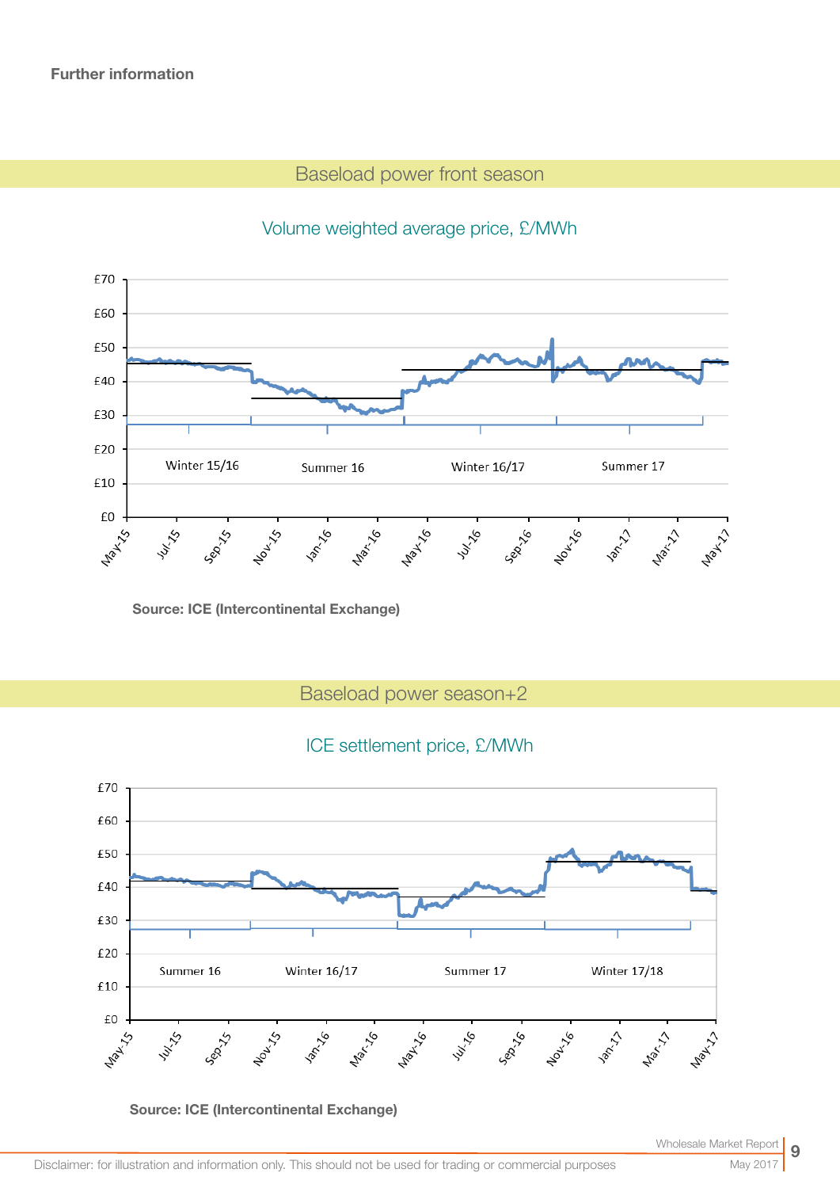# Baseload power front season



# Volume weighted average price, £/MWh

Source: ICE (Intercontinental Exchange)

Baseload power season+2

## ICE settlement price, £/MWh



Source: ICE (Intercontinental Exchange)

May 20<sup>-</sup>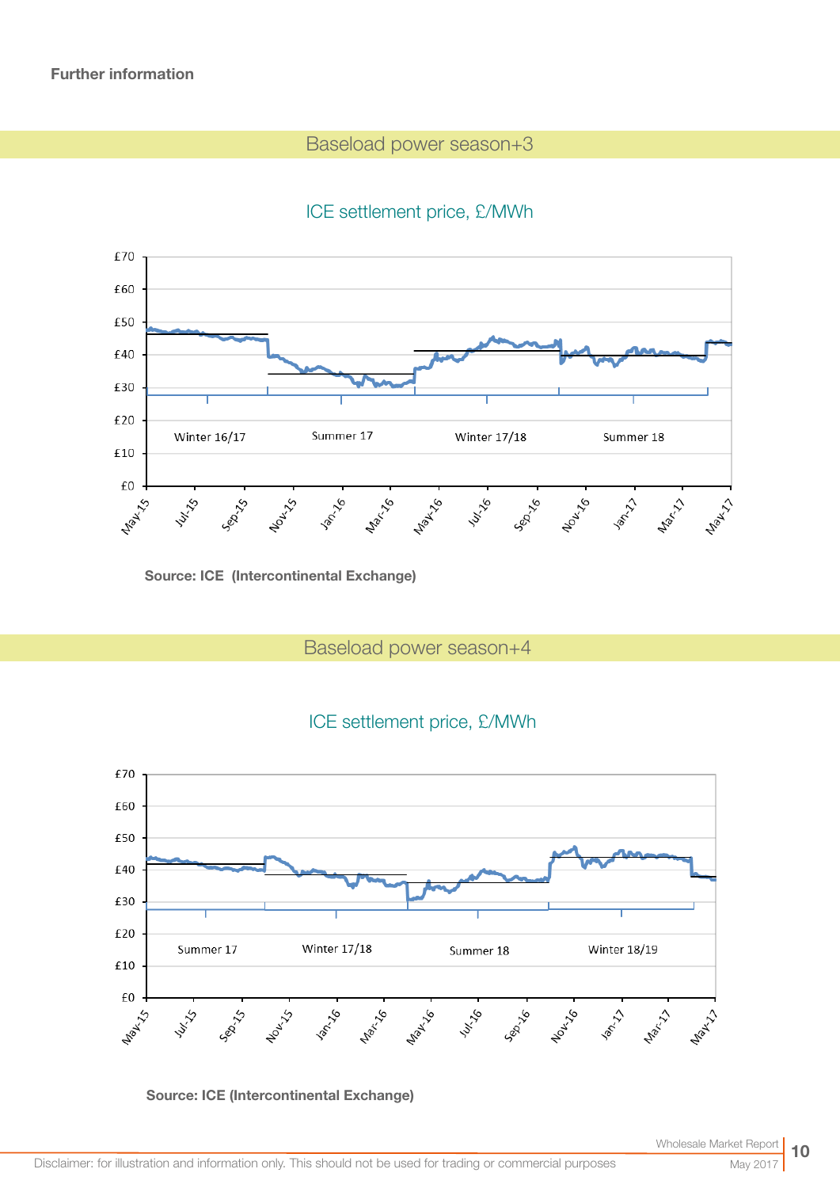# Baseload power season+3

# ICE settlement price, £/MWh



Source: ICE (Intercontinental Exchange)

Baseload power season+4





Source: ICE (Intercontinental Exchange)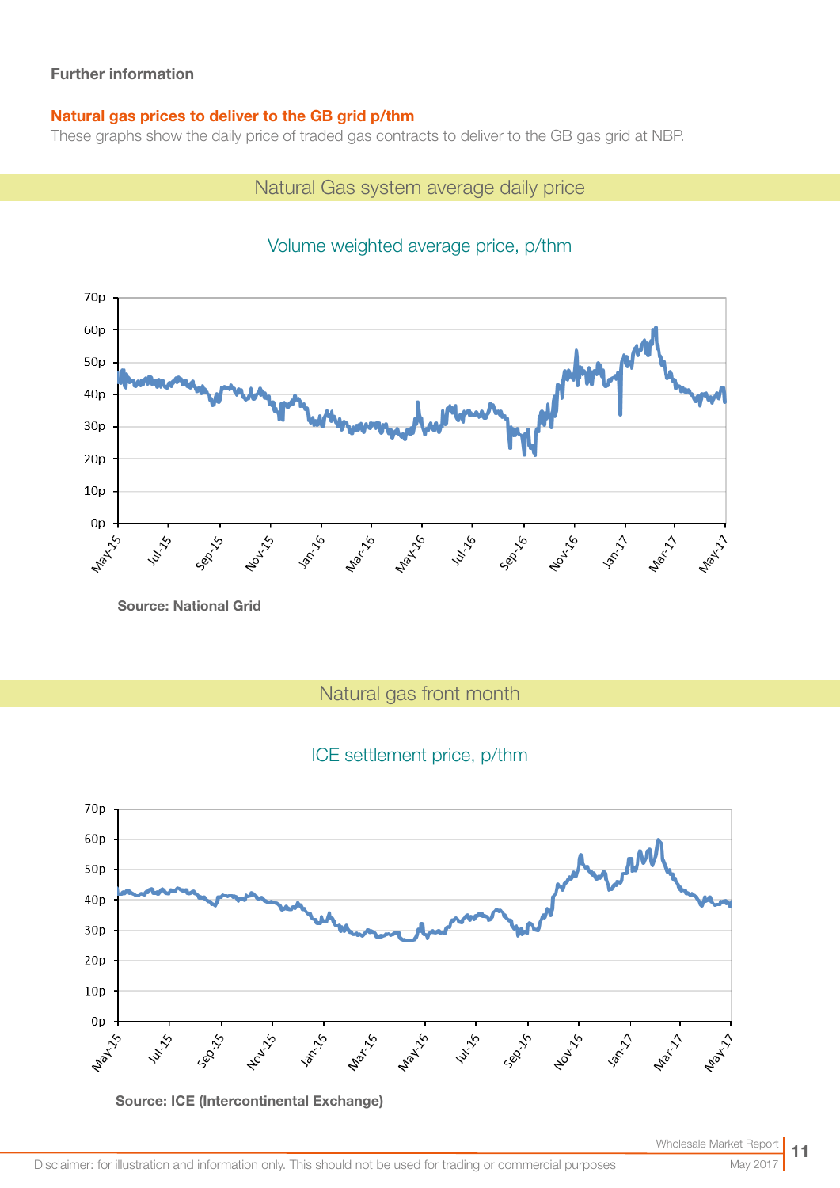## Natural gas prices to deliver to the GB grid p/thm

These graphs show the daily price of traded gas contracts to deliver to the GB gas grid at NBP.

# Natural Gas system average daily price



# Volume weighted average price, p/thm

Natural gas front month

# ICE settlement price, p/thm



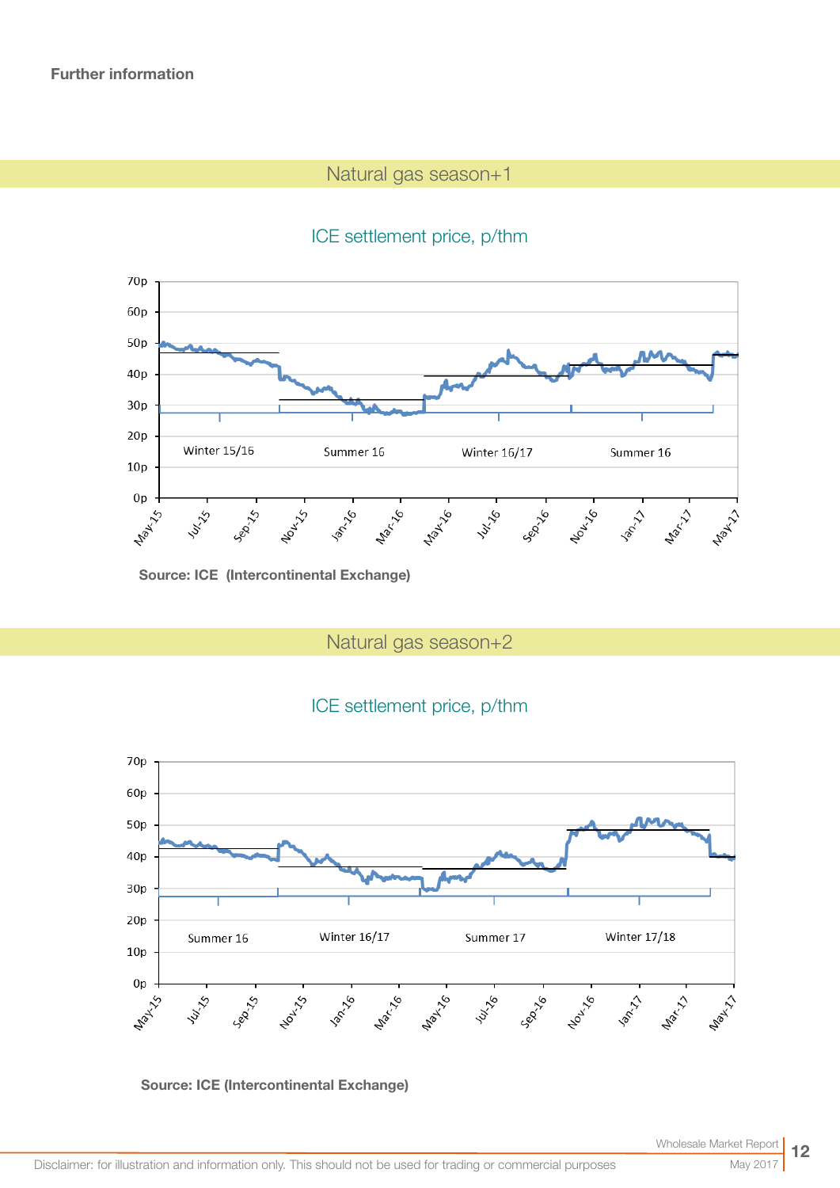# Natural gas season+1

# ICE settlement price, p/thm



Source: ICE (Intercontinental Exchange)

Natural gas season+2

# ICE settlement price, p/thm



## Source: ICE (Intercontinental Exchange)